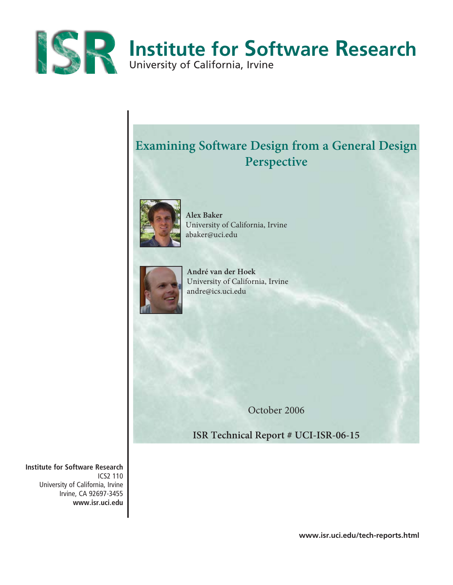

# **Examining Software Design from a General Design Perspective**



**Alex Baker**  University of California, Irvine abaker@uci.edu



**André van der Hoek** University of California, Irvine andre@ics.uci.edu

October 2006

**ISR Technical Report # UCI-ISR-06-15**

**Institute for Software Research** ICS2 110 University of California, Irvine Irvine, CA 92697-3455 **www.isr.uci.edu**

**www.isr.uci.edu/tech-reports.html**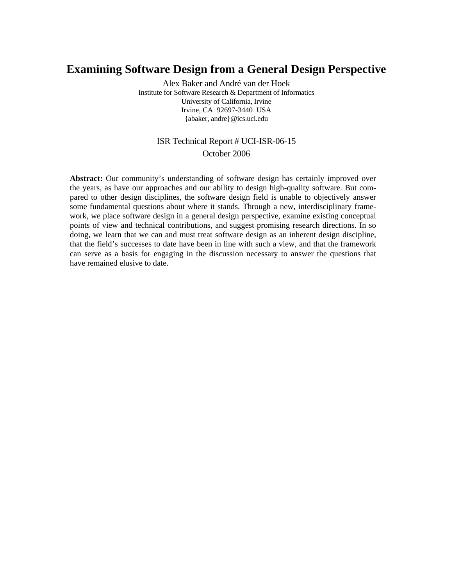## **Examining Software Design from a General Design Perspective**

Alex Baker and André van der Hoek Institute for Software Research & Department of Informatics University of California, Irvine Irvine, CA 92697-3440 USA {abaker, andre}@ics.uci.edu

## ISR Technical Report # UCI-ISR-06-15

### October 2006

Abstract: Our community's understanding of software design has certainly improved over the years, as have our approaches and our ability to design high-quality software. But compared to other design disciplines, the software design field is unable to objectively answer some fundamental questions about where it stands. Through a new, interdisciplinary framework, we place software design in a general design perspective, examine existing conceptual points of view and technical contributions, and suggest promising research directions. In so doing, we learn that we can and must treat software design as an inherent design discipline, that the field's successes to date have been in line with such a view, and that the framework can serve as a basis for engaging in the discussion necessary to answer the questions that have remained elusive to date.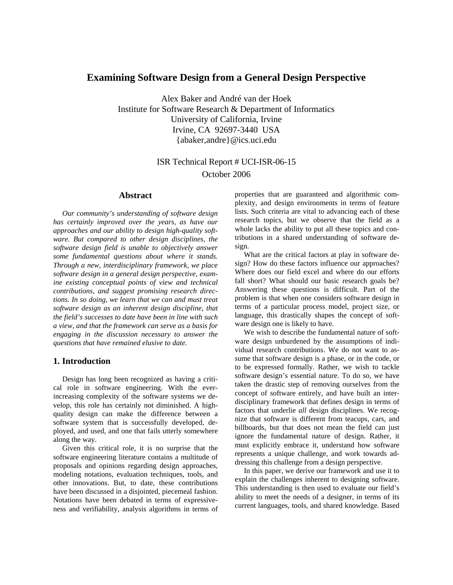### **Examining Software Design from a General Design Perspective**

Alex Baker and André van der Hoek Institute for Software Research & Department of Informatics University of California, Irvine Irvine, CA 92697-3440 USA {abaker,andre}@ics.uci.edu

## ISR Technical Report # UCI-ISR-06-15 October 2006

#### **Abstract**

*Our community's understanding of software design has certainly improved over the years, as have our approaches and our ability to design high-quality software. But compared to other design disciplines, the software design field is unable to objectively answer some fundamental questions about where it stands. Through a new, interdisciplinary framework, we place software design in a general design perspective, examine existing conceptual points of view and technical contributions, and suggest promising research directions. In so doing, we learn that we can and must treat software design as an inherent design discipline, that the field's successes to date have been in line with such a view, and that the framework can serve as a basis for engaging in the discussion necessary to answer the questions that have remained elusive to date.* 

#### **1. Introduction**

Design has long been recognized as having a critical role in software engineering. With the everincreasing complexity of the software systems we develop, this role has certainly not diminished. A highquality design can make the difference between a software system that is successfully developed, deployed, and used, and one that fails utterly somewhere along the way.

Given this critical role, it is no surprise that the software engineering literature contains a multitude of proposals and opinions regarding design approaches, modeling notations, evaluation techniques, tools, and other innovations. But, to date, these contributions have been discussed in a disjointed, piecemeal fashion. Notations have been debated in terms of expressiveness and verifiability, analysis algorithms in terms of

properties that are guaranteed and algorithmic complexity, and design environments in terms of feature lists. Such criteria are vital to advancing each of these research topics, but we observe that the field as a whole lacks the ability to put all these topics and contributions in a shared understanding of software design.

What are the critical factors at play in software design? How do these factors influence our approaches? Where does our field excel and where do our efforts fall short? What should our basic research goals be? Answering these questions is difficult. Part of the problem is that when one considers software design in terms of a particular process model, project size, or language, this drastically shapes the concept of software design one is likely to have.

We wish to describe the fundamental nature of software design unburdened by the assumptions of individual research contributions. We do not want to assume that software design is a phase, or in the code, or to be expressed formally. Rather, we wish to tackle software design's essential nature. To do so, we have taken the drastic step of removing ourselves from the concept of software entirely, and have built an interdisciplinary framework that defines design in terms of factors that underlie *all* design disciplines. We recognize that software is different from teacups, cars, and billboards, but that does not mean the field can just ignore the fundamental nature of design. Rather, it must explicitly embrace it, understand how software represents a unique challenge, and work towards addressing this challenge from a design perspective.

In this paper, we derive our framework and use it to explain the challenges inherent to designing software. This understanding is then used to evaluate our field's ability to meet the needs of a designer, in terms of its current languages, tools, and shared knowledge. Based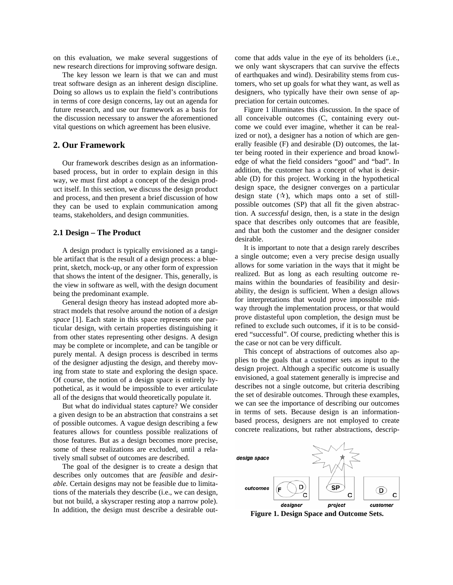on this evaluation, we make several suggestions of new research directions for improving software design.

The key lesson we learn is that we can and must treat software design as an inherent design discipline. Doing so allows us to explain the field's contributions in terms of core design concerns, lay out an agenda for future research, and use our framework as a basis for the discussion necessary to answer the aforementioned vital questions on which agreement has been elusive.

#### **2. Our Framework**

Our framework describes design as an informationbased process, but in order to explain design in this way, we must first adopt a concept of the design product itself. In this section, we discuss the design product and process, and then present a brief discussion of how they can be used to explain communication among teams, stakeholders, and design communities.

#### **2.1 Design – The Product**

A design product is typically envisioned as a tangible artifact that is the result of a design process: a blueprint, sketch, mock-up, or any other form of expression that shows the intent of the designer. This, generally, is the view in software as well, with the design document being the predominant example.

General design theory has instead adopted more abstract models that resolve around the notion of a *design space* [1]. Each state in this space represents one particular design, with certain properties distinguishing it from other states representing other designs. A design may be complete or incomplete, and can be tangible or purely mental. A design process is described in terms of the designer adjusting the design, and thereby moving from state to state and exploring the design space. Of course, the notion of a design space is entirely hypothetical, as it would be impossible to ever articulate all of the designs that would theoretically populate it.

But what do individual states capture? We consider a given design to be an abstraction that constrains a set of possible outcomes. A vague design describing a few features allows for countless possible realizations of those features. But as a design becomes more precise, some of these realizations are excluded, until a relatively small subset of outcomes are described.

The goal of the designer is to create a design that describes only outcomes that are *feasible* and *desirable.* Certain designs may not be feasible due to limitations of the materials they describe (i.e., we can design, but not build, a skyscraper resting atop a narrow pole). In addition, the design must describe a desirable outcome that adds value in the eye of its beholders (i.e., we only want skyscrapers that can survive the effects of earthquakes and wind). Desirability stems from customers, who set up goals for what they want, as well as designers, who typically have their own sense of appreciation for certain outcomes.

Figure 1 illuminates this discussion. In the space of all conceivable outcomes (C, containing every outcome we could ever imagine, whether it can be realized or not), a designer has a notion of which are generally feasible (F) and desirable (D) outcomes, the latter being rooted in their experience and broad knowledge of what the field considers "good" and "bad". In addition, the customer has a concept of what is desirable (D) for this project. Working in the hypothetical design space, the designer converges on a particular design state  $(\mathcal{X})$ , which maps onto a set of stillpossible outcomes (SP) that all fit the given abstraction. A *successful* design, then, is a state in the design space that describes only outcomes that are feasible, and that both the customer and the designer consider desirable.

It is important to note that a design rarely describes a single outcome; even a very precise design usually allows for some variation in the ways that it might be realized. But as long as each resulting outcome remains within the boundaries of feasibility and desirability, the design is sufficient. When a design allows for interpretations that would prove impossible midway through the implementation process, or that would prove distasteful upon completion, the design must be refined to exclude such outcomes, if it is to be considered "successful". Of course, predicting whether this is the case or not can be very difficult.

This concept of abstractions of outcomes also applies to the goals that a customer sets as input to the design project. Although a specific outcome is usually envisioned, a goal statement generally is imprecise and describes not a single outcome, but criteria describing the set of desirable outcomes. Through these examples, we can see the importance of describing our outcomes in terms of sets. Because design is an informationbased process, designers are not employed to create concrete realizations, but rather abstractions, descrip-



**Figure 1. Design Space and Outcome Sets.**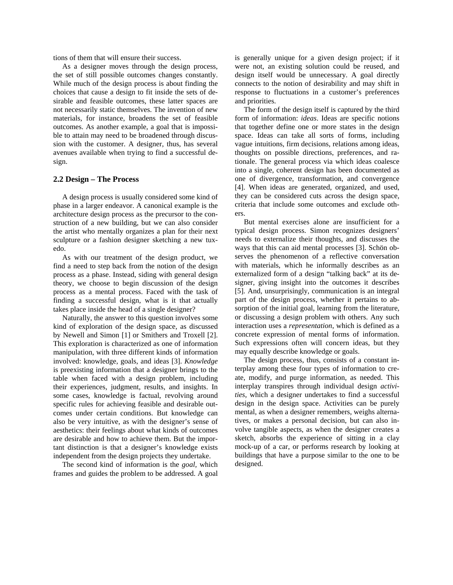tions of them that will ensure their success.

As a designer moves through the design process, the set of still possible outcomes changes constantly. While much of the design process is about finding the choices that cause a design to fit inside the sets of desirable and feasible outcomes, these latter spaces are not necessarily static themselves. The invention of new materials, for instance, broadens the set of feasible outcomes. As another example, a goal that is impossible to attain may need to be broadened through discussion with the customer. A designer, thus, has several avenues available when trying to find a successful design.

#### **2.2 Design – The Process**

A design process is usually considered some kind of phase in a larger endeavor. A canonical example is the architecture design process as the precursor to the construction of a new building, but we can also consider the artist who mentally organizes a plan for their next sculpture or a fashion designer sketching a new tuxedo.

As with our treatment of the design product, we find a need to step back from the notion of the design process as a phase. Instead, siding with general design theory, we choose to begin discussion of the design process as a mental process. Faced with the task of finding a successful design, what is it that actually takes place inside the head of a single designer?

Naturally, the answer to this question involves some kind of exploration of the design space, as discussed by Newell and Simon [1] or Smithers and Troxell [2]. This exploration is characterized as one of information manipulation, with three different kinds of information involved: knowledge, goals, and ideas [3]. *Knowledge* is preexisting information that a designer brings to the table when faced with a design problem, including their experiences, judgment, results, and insights. In some cases, knowledge is factual, revolving around specific rules for achieving feasible and desirable outcomes under certain conditions. But knowledge can also be very intuitive, as with the designer's sense of aesthetics: their feelings about what kinds of outcomes are desirable and how to achieve them. But the important distinction is that a designer's knowledge exists independent from the design projects they undertake.

The second kind of information is the *goal,* which frames and guides the problem to be addressed. A goal

is generally unique for a given design project; if it were not, an existing solution could be reused, and design itself would be unnecessary. A goal directly connects to the notion of desirability and may shift in response to fluctuations in a customer's preferences and priorities.

The form of the design itself is captured by the third form of information: *ideas*. Ideas are specific notions that together define one or more states in the design space. Ideas can take all sorts of forms, including vague intuitions, firm decisions, relations among ideas, thoughts on possible directions, preferences, and rationale. The general process via which ideas coalesce into a single, coherent design has been documented as one of divergence, transformation, and convergence [4]. When ideas are generated, organized, and used, they can be considered cuts across the design space, criteria that include some outcomes and exclude others.

But mental exercises alone are insufficient for a typical design process. Simon recognizes designers' needs to externalize their thoughts, and discusses the ways that this can aid mental processes [3]. Schön observes the phenomenon of a reflective conversation with materials, which he informally describes as an externalized form of a design "talking back" at its designer, giving insight into the outcomes it describes [5]. And, unsurprisingly, communication is an integral part of the design process, whether it pertains to absorption of the initial goal, learning from the literature, or discussing a design problem with others. Any such interaction uses a *representation*, which is defined as a concrete expression of mental forms of information. Such expressions often will concern ideas, but they may equally describe knowledge or goals.

The design process, thus, consists of a constant interplay among these four types of information to create, modify, and purge information, as needed. This interplay transpires through individual design *activities*, which a designer undertakes to find a successful design in the design space. Activities can be purely mental, as when a designer remembers, weighs alternatives, or makes a personal decision, but can also involve tangible aspects, as when the designer creates a sketch, absorbs the experience of sitting in a clay mock-up of a car, or performs research by looking at buildings that have a purpose similar to the one to be designed.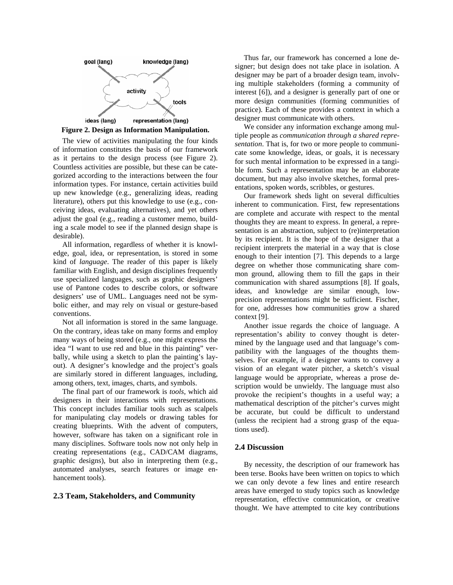



The view of activities manipulating the four kinds of information constitutes the basis of our framework as it pertains to the design process (see Figure 2). Countless activities are possible, but these can be categorized according to the interactions between the four information types. For instance, certain activities build up new knowledge (e.g., generalizing ideas, reading literature), others put this knowledge to use (e.g., conceiving ideas, evaluating alternatives), and yet others adjust the goal (e.g., reading a customer memo, building a scale model to see if the planned design shape is desirable).

All information, regardless of whether it is knowledge, goal, idea, or representation, is stored in some kind of *language*. The reader of this paper is likely familiar with English, and design disciplines frequently use specialized languages, such as graphic designers' use of Pantone codes to describe colors, or software designers' use of UML. Languages need not be symbolic either, and may rely on visual or gesture-based conventions.

Not all information is stored in the same language. On the contrary, ideas take on many forms and employ many ways of being stored (e.g., one might express the idea "I want to use red and blue in this painting" verbally, while using a sketch to plan the painting's layout). A designer's knowledge and the project's goals are similarly stored in different languages, including, among others, text, images, charts, and symbols.

The final part of our framework is *tools*, which aid designers in their interactions with representations. This concept includes familiar tools such as scalpels for manipulating clay models or drawing tables for creating blueprints. With the advent of computers, however, software has taken on a significant role in many disciplines. Software tools now not only help in creating representations (e.g., CAD/CAM diagrams, graphic designs), but also in interpreting them (e.g., automated analyses, search features or image enhancement tools).

#### **2.3 Team, Stakeholders, and Community**

Thus far, our framework has concerned a lone designer; but design does not take place in isolation. A designer may be part of a broader design team, involving multiple stakeholders (forming a community of interest [6]), and a designer is generally part of one or more design communities (forming communities of practice). Each of these provides a context in which a designer must communicate with others.

**Figure 2. Design as Information Manipulation.** We consider any information exchange among mul-<br>Figure 2. Design as Information Manipulation. tiple people as *communication through a shared representation*. That is, for two or more people to communicate some knowledge, ideas, or goals, it is necessary for such mental information to be expressed in a tangible form. Such a representation may be an elaborate document, but may also involve sketches, formal presentations, spoken words, scribbles, or gestures.

> Our framework sheds light on several difficulties inherent to communication. First, few representations are complete and accurate with respect to the mental thoughts they are meant to express. In general, a representation is an abstraction, subject to (re)interpretation by its recipient. It is the hope of the designer that a recipient interprets the material in a way that is close enough to their intention [7]. This depends to a large degree on whether those communicating share common ground, allowing them to fill the gaps in their communication with shared assumptions [8]. If goals, ideas, and knowledge are similar enough, lowprecision representations might be sufficient. Fischer, for one, addresses how communities grow a shared context [9].

> Another issue regards the choice of language. A representation's ability to convey thought is determined by the language used and that language's compatibility with the languages of the thoughts themselves. For example, if a designer wants to convey a vision of an elegant water pitcher, a sketch's visual language would be appropriate, whereas a prose description would be unwieldy. The language must also provoke the recipient's thoughts in a useful way; a mathematical description of the pitcher's curves might be accurate, but could be difficult to understand (unless the recipient had a strong grasp of the equations used).

#### **2.4 Discussion**

By necessity, the description of our framework has been terse. Books have been written on topics to which we can only devote a few lines and entire research areas have emerged to study topics such as knowledge representation, effective communication, or creative thought. We have attempted to cite key contributions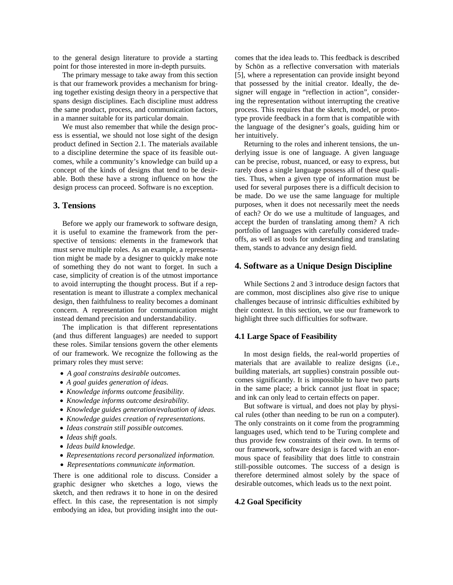to the general design literature to provide a starting point for those interested in more in-depth pursuits.

The primary message to take away from this section is that our framework provides a mechanism for bringing together existing design theory in a perspective that spans design disciplines. Each discipline must address the same product, process, and communication factors, in a manner suitable for its particular domain.

We must also remember that while the design process is essential, we should not lose sight of the design product defined in Section 2.1. The materials available to a discipline determine the space of its feasible outcomes, while a community's knowledge can build up a concept of the kinds of designs that tend to be desirable. Both these have a strong influence on how the design process can proceed. Software is no exception.

#### **3. Tensions**

Before we apply our framework to software design, it is useful to examine the framework from the perspective of tensions: elements in the framework that must serve multiple roles. As an example, a representation might be made by a designer to quickly make note of something they do not want to forget. In such a case, simplicity of creation is of the utmost importance to avoid interrupting the thought process. But if a representation is meant to illustrate a complex mechanical design, then faithfulness to reality becomes a dominant concern. A representation for communication might instead demand precision and understandability.

The implication is that different representations (and thus different languages) are needed to support these roles. Similar tensions govern the other elements of our framework. We recognize the following as the primary roles they must serve:

- *A goal constrains desirable outcomes.*
- *A goal guides generation of ideas.*
- *Knowledge informs outcome feasibility.*
- *Knowledge informs outcome desirability.*
- *Knowledge guides generation/evaluation of ideas.*
- *Knowledge guides creation of representations.*
- *Ideas constrain still possible outcomes.*
- *Ideas shift goals.*
- *Ideas build knowledge.*
- *Representations record personalized information.*
- *Representations communicate information.*

There is one additional role to discuss. Consider a graphic designer who sketches a logo, views the sketch, and then redraws it to hone in on the desired effect. In this case, the representation is not simply embodying an idea, but providing insight into the out-

comes that the idea leads to. This feedback is described by Schön as a reflective conversation with materials [5], where a representation can provide insight beyond that possessed by the initial creator. Ideally, the designer will engage in "reflection in action", considering the representation without interrupting the creative process. This requires that the sketch, model, or prototype provide feedback in a form that is compatible with the language of the designer's goals, guiding him or her intuitively.

Returning to the roles and inherent tensions, the underlying issue is one of language. A given language can be precise, robust, nuanced, or easy to express, but rarely does a single language possess all of these qualities. Thus, when a given type of information must be used for several purposes there is a difficult decision to be made. Do we use the same language for multiple purposes, when it does not necessarily meet the needs of each? Or do we use a multitude of languages, and accept the burden of translating among them? A rich portfolio of languages with carefully considered tradeoffs, as well as tools for understanding and translating them, stands to advance any design field.

#### **4. Software as a Unique Design Discipline**

While Sections 2 and 3 introduce design factors that are common, most disciplines also give rise to unique challenges because of intrinsic difficulties exhibited by their context. In this section, we use our framework to highlight three such difficulties for software.

#### **4.1 Large Space of Feasibility**

In most design fields, the real-world properties of materials that are available to realize designs (i.e., building materials, art supplies) constrain possible outcomes significantly. It is impossible to have two parts in the same place; a brick cannot just float in space; and ink can only lead to certain effects on paper.

But software is virtual, and does not play by physical rules (other than needing to be run on a computer). The only constraints on it come from the programming languages used, which tend to be Turing complete and thus provide few constraints of their own. In terms of our framework, software design is faced with an enormous space of feasibility that does little to constrain still-possible outcomes. The success of a design is therefore determined almost solely by the space of desirable outcomes, which leads us to the next point.

#### **4.2 Goal Specificity**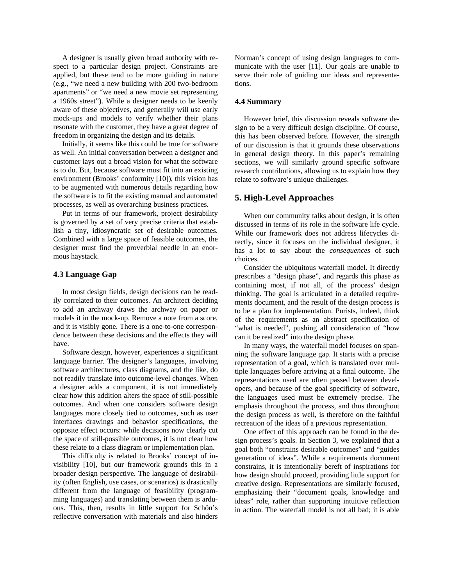A designer is usually given broad authority with respect to a particular design project. Constraints are applied, but these tend to be more guiding in nature (e.g., "we need a new building with 200 two-bedroom apartments" or "we need a new movie set representing a 1960s street"). While a designer needs to be keenly aware of these objectives, and generally will use early mock-ups and models to verify whether their plans resonate with the customer, they have a great degree of freedom in organizing the design and its details.

Initially, it seems like this could be true for software as well. An initial conversation between a designer and customer lays out a broad vision for what the software is to do. But, because software must fit into an existing environment (Brooks' conformity [10]), this vision has to be augmented with numerous details regarding how the software is to fit the existing manual and automated processes, as well as overarching business practices.

Put in terms of our framework, project desirability is governed by a set of very precise criteria that establish a tiny, idiosyncratic set of desirable outcomes. Combined with a large space of feasible outcomes, the designer must find the proverbial needle in an enormous haystack.

#### **4.3 Language Gap**

In most design fields, design decisions can be readily correlated to their outcomes. An architect deciding to add an archway draws the archway on paper or models it in the mock-up. Remove a note from a score, and it is visibly gone. There is a one-to-one correspondence between these decisions and the effects they will have.

Software design, however, experiences a significant language barrier. The designer's languages, involving software architectures, class diagrams, and the like, do not readily translate into outcome-level changes. When a designer adds a component, it is not immediately clear how this addition alters the space of still-possible outcomes. And when one considers software design languages more closely tied to outcomes, such as user interfaces drawings and behavior specifications, the opposite effect occurs: while decisions now clearly cut the space of still-possible outcomes, it is not clear how these relate to a class diagram or implementation plan.

This difficulty is related to Brooks' concept of invisibility [10], but our framework grounds this in a broader design perspective. The language of desirability (often English, use cases, or scenarios) is drastically different from the language of feasibility (programming languages) and translating between them is arduous. This, then, results in little support for Schön's reflective conversation with materials and also hinders Norman's concept of using design languages to communicate with the user [11]. Our goals are unable to serve their role of guiding our ideas and representations.

#### **4.4 Summary**

However brief, this discussion reveals software design to be a very difficult design discipline. Of course, this has been observed before. However, the strength of our discussion is that it grounds these observations in general design theory. In this paper's remaining sections, we will similarly ground specific software research contributions, allowing us to explain how they relate to software's unique challenges.

#### **5. High-Level Approaches**

When our community talks about design, it is often discussed in terms of its role in the software life cycle. While our framework does not address lifecycles directly, since it focuses on the individual designer, it has a lot to say about the *consequences* of such choices.

Consider the ubiquitous waterfall model. It directly prescribes a "design phase", and regards this phase as containing most, if not all, of the process' design thinking. The goal is articulated in a detailed requirements document, and the result of the design process is to be a plan for implementation. Purists, indeed, think of the requirements as an abstract specification of "what is needed", pushing all consideration of "how can it be realized" into the design phase.

In many ways, the waterfall model focuses on spanning the software language gap. It starts with a precise representation of a goal, which is translated over multiple languages before arriving at a final outcome. The representations used are often passed between developers, and because of the goal specificity of software, the languages used must be extremely precise. The emphasis throughout the process, and thus throughout the design process as well, is therefore on the faithful recreation of the ideas of a previous representation.

One effect of this approach can be found in the design process's goals. In Section 3, we explained that a goal both "constrains desirable outcomes" and "guides generation of ideas". While a requirements document constrains, it is intentionally bereft of inspirations for how design should proceed, providing little support for creative design. Representations are similarly focused, emphasizing their "document goals, knowledge and ideas" role, rather than supporting intuitive reflection in action. The waterfall model is not all bad; it is able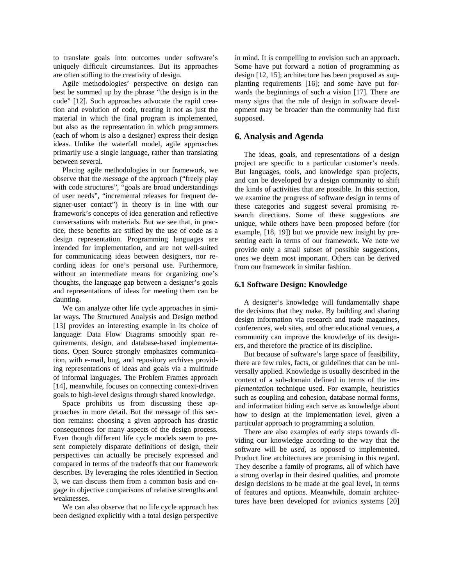to translate goals into outcomes under software's uniquely difficult circumstances. But its approaches are often stifling to the creativity of design.

Agile methodologies' perspective on design can best be summed up by the phrase "the design is in the code" [12]. Such approaches advocate the rapid creation and evolution of code, treating it not as just the material in which the final program is implemented, but also as the representation in which programmers (each of whom is also a designer) express their design ideas. Unlike the waterfall model, agile approaches primarily use a single language, rather than translating between several.

Placing agile methodologies in our framework, we observe that the *message* of the approach ("freely play with code structures", "goals are broad understandings of user needs", "incremental releases for frequent designer-user contact") in theory is in line with our framework's concepts of idea generation and reflective conversations with materials. But we see that, in practice, these benefits are stifled by the use of code as a design representation. Programming languages are intended for implementation, and are not well-suited for communicating ideas between designers, nor recording ideas for one's personal use. Furthermore, without an intermediate means for organizing one's thoughts, the language gap between a designer's goals and representations of ideas for meeting them can be daunting.

We can analyze other life cycle approaches in similar ways. The Structured Analysis and Design method [13] provides an interesting example in its choice of language: Data Flow Diagrams smoothly span requirements, design, and database-based implementations. Open Source strongly emphasizes communication, with e-mail, bug, and repository archives providing representations of ideas and goals via a multitude of informal languages. The Problem Frames approach [14], meanwhile, focuses on connecting context-driven goals to high-level designs through shared knowledge.

Space prohibits us from discussing these approaches in more detail. But the message of this section remains: choosing a given approach has drastic consequences for many aspects of the design process. Even though different life cycle models seem to present completely disparate definitions of design, their perspectives can actually be precisely expressed and compared in terms of the tradeoffs that our framework describes. By leveraging the roles identified in Section 3, we can discuss them from a common basis and engage in objective comparisons of relative strengths and weaknesses.

We can also observe that no life cycle approach has been designed explicitly with a total design perspective

in mind. It is compelling to envision such an approach. Some have put forward a notion of programming as design [12, 15]; architecture has been proposed as supplanting requirements [16]; and some have put forwards the beginnings of such a vision [17]. There are many signs that the role of design in software development may be broader than the community had first supposed.

#### **6. Analysis and Agenda**

The ideas, goals, and representations of a design project are specific to a particular customer's needs. But languages, tools, and knowledge span projects, and can be developed by a design community to shift the kinds of activities that are possible. In this section, we examine the progress of software design in terms of these categories and suggest several promising research directions. Some of these suggestions are unique, while others have been proposed before (for example, [18, 19]) but we provide new insight by presenting each in terms of our framework. We note we provide only a small subset of possible suggestions, ones we deem most important. Others can be derived from our framework in similar fashion.

#### **6.1 Software Design: Knowledge**

A designer's knowledge will fundamentally shape the decisions that they make. By building and sharing design information via research and trade magazines, conferences, web sites, and other educational venues, a community can improve the knowledge of its designers, and therefore the practice of its discipline.

But because of software's large space of feasibility, there are few rules, facts, or guidelines that can be universally applied. Knowledge is usually described in the context of a sub-domain defined in terms of the *implementation* technique used. For example, heuristics such as coupling and cohesion, database normal forms, and information hiding each serve as knowledge about how to design at the implementation level, given a particular approach to programming a solution.

There are also examples of early steps towards dividing our knowledge according to the way that the software will be *used,* as opposed to implemented. Product line architectures are promising in this regard. They describe a family of programs, all of which have a strong overlap in their desired qualities, and promote design decisions to be made at the goal level, in terms of features and options. Meanwhile, domain architectures have been developed for avionics systems [20]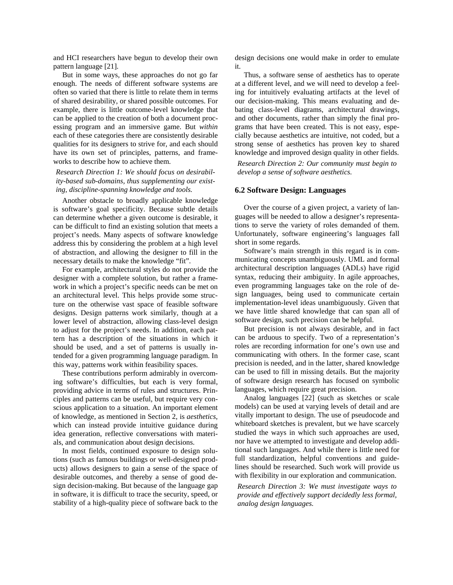and HCI researchers have begun to develop their own pattern language [21].

But in some ways, these approaches do not go far enough. The needs of different software systems are often so varied that there is little to relate them in terms of shared desirability, or shared possible outcomes. For example, there is little outcome-level knowledge that can be applied to the creation of both a document processing program and an immersive game. But *within* each of these categories there are consistently desirable qualities for its designers to strive for, and each should have its own set of principles, patterns, and frameworks to describe how to achieve them.

*Research Direction 1: We should focus on desirability-based sub-domains, thus supplementing our existing, discipline-spanning knowledge and tools.*

Another obstacle to broadly applicable knowledge is software's goal specificity. Because subtle details can determine whether a given outcome is desirable, it can be difficult to find an existing solution that meets a project's needs. Many aspects of software knowledge address this by considering the problem at a high level of abstraction, and allowing the designer to fill in the necessary details to make the knowledge "fit".

For example, architectural styles do not provide the designer with a complete solution, but rather a framework in which a project's specific needs can be met on an architectural level. This helps provide some structure on the otherwise vast space of feasible software designs. Design patterns work similarly, though at a lower level of abstraction, allowing class-level design to adjust for the project's needs. In addition, each pattern has a description of the situations in which it should be used, and a set of patterns is usually intended for a given programming language paradigm. In this way, patterns work within feasibility spaces.

These contributions perform admirably in overcoming software's difficulties, but each is very formal, providing advice in terms of rules and structures. Principles and patterns can be useful, but require very conscious application to a situation. An important element of knowledge, as mentioned in Section 2, is *aesthetics*, which can instead provide intuitive guidance during idea generation, reflective conversations with materials, and communication about design decisions.

In most fields, continued exposure to design solutions (such as famous buildings or well-designed products) allows designers to gain a sense of the space of desirable outcomes, and thereby a sense of good design decision-making. But because of the language gap in software, it is difficult to trace the security, speed, or stability of a high-quality piece of software back to the

design decisions one would make in order to emulate it.

Thus, a software sense of aesthetics has to operate at a different level, and we will need to develop a feeling for intuitively evaluating artifacts at the level of our decision-making. This means evaluating and debating class-level diagrams, architectural drawings, and other documents, rather than simply the final programs that have been created. This is not easy, especially because aesthetics are intuitive, not coded, but a strong sense of aesthetics has proven key to shared knowledge and improved design quality in other fields.

*Research Direction 2: Our community must begin to develop a sense of software aesthetics.*

#### **6.2 Software Design: Languages**

Over the course of a given project, a variety of languages will be needed to allow a designer's representations to serve the variety of roles demanded of them. Unfortunately, software engineering's languages fall short in some regards.

Software's main strength in this regard is in communicating concepts unambiguously. UML and formal architectural description languages (ADLs) have rigid syntax, reducing their ambiguity. In agile approaches, even programming languages take on the role of design languages, being used to communicate certain implementation-level ideas unambiguously. Given that we have little shared knowledge that can span all of software design, such precision can be helpful.

But precision is not always desirable, and in fact can be arduous to specify. Two of a representation's roles are recording information for one's own use and communicating with others. In the former case, scant precision is needed, and in the latter, shared knowledge can be used to fill in missing details. But the majority of software design research has focused on symbolic languages, which require great precision.

Analog languages [22] (such as sketches or scale models) can be used at varying levels of detail and are vitally important to design. The use of pseudocode and whiteboard sketches is prevalent, but we have scarcely studied the ways in which such approaches are used, nor have we attempted to investigate and develop additional such languages. And while there is little need for full standardization, helpful conventions and guidelines should be researched. Such work will provide us with flexibility in our exploration and communication.

*Research Direction 3: We must investigate ways to provide and effectively support decidedly less formal, analog design languages.*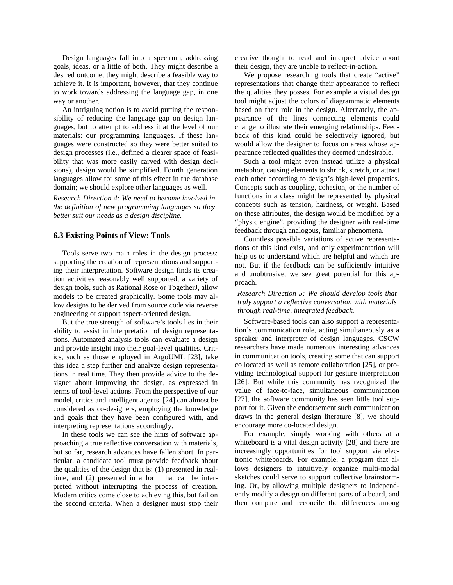Design languages fall into a spectrum, addressing goals, ideas, or a little of both. They might describe a desired outcome; they might describe a feasible way to achieve it. It is important, however, that they continue to work towards addressing the language gap, in one way or another.

An intriguing notion is to avoid putting the responsibility of reducing the language gap on design languages, but to attempt to address it at the level of our materials: our programming languages. If these languages were constructed so they were better suited to design processes (i.e., defined a clearer space of feasibility that was more easily carved with design decisions), design would be simplified. Fourth generation languages allow for some of this effect in the database domain; we should explore other languages as well.

*Research Direction 4: We need to become involved in the definition of new programming languages so they better suit our needs as a design discipline.* 

#### **6.3 Existing Points of View: Tools**

Tools serve two main roles in the design process: supporting the creation of representations and supporting their interpretation. Software design finds its creation activities reasonably well supported; a variety of design tools, such as Rational Rose or TogetherJ, allow models to be created graphically. Some tools may allow designs to be derived from source code via reverse engineering or support aspect-oriented design.

But the true strength of software's tools lies in their ability to assist in interpretation of design representations. Automated analysis tools can evaluate a design and provide insight into their goal-level qualities. Critics, such as those employed in ArgoUML [23], take this idea a step further and analyze design representations in real time. They then provide advice to the designer about improving the design, as expressed in terms of tool-level actions. From the perspective of our model, critics and intelligent agents [24] can almost be considered as co-designers, employing the knowledge and goals that they have been configured with, and interpreting representations accordingly.

In these tools we can see the hints of software approaching a true reflective conversation with materials, but so far, research advances have fallen short. In particular, a candidate tool must provide feedback about the qualities of the design that is: (1) presented in realtime, and (2) presented in a form that can be interpreted without interrupting the process of creation. Modern critics come close to achieving this, but fail on the second criteria. When a designer must stop their

creative thought to read and interpret advice about their design, they are unable to reflect-in-action.

We propose researching tools that create "active" representations that change their appearance to reflect the qualities they posses. For example a visual design tool might adjust the colors of diagrammatic elements based on their role in the design. Alternately, the appearance of the lines connecting elements could change to illustrate their emerging relationships. Feedback of this kind could be selectively ignored, but would allow the designer to focus on areas whose appearance reflected qualities they deemed undesirable.

Such a tool might even instead utilize a physical metaphor, causing elements to shrink, stretch, or attract each other according to design's high-level properties. Concepts such as coupling, cohesion, or the number of functions in a class might be represented by physical concepts such as tension, hardness, or weight. Based on these attributes, the design would be modified by a "physic engine", providing the designer with real-time feedback through analogous, familiar phenomena.

Countless possible variations of active representations of this kind exist, and only experimentation will help us to understand which are helpful and which are not. But if the feedback can be sufficiently intuitive and unobtrusive, we see great potential for this approach.

*Research Direction 5: We should develop tools that truly support a reflective conversation with materials through real-time, integrated feedback.* 

Software-based tools can also support a representation's communication role, acting simultaneously as a speaker and interpreter of design languages. CSCW researchers have made numerous interesting advances in communication tools, creating some that can support collocated as well as remote collaboration [25], or providing technological support for gesture interpretation [26]. But while this community has recognized the value of face-to-face, simultaneous communication [27], the software community has seen little tool support for it. Given the endorsement such communication draws in the general design literature [8], we should encourage more co-located design.

For example, simply working with others at a whiteboard is a vital design activity [28] and there are increasingly opportunities for tool support via electronic whiteboards. For example, a program that allows designers to intuitively organize multi-modal sketches could serve to support collective brainstorming. Or, by allowing multiple designers to independently modify a design on different parts of a board, and then compare and reconcile the differences among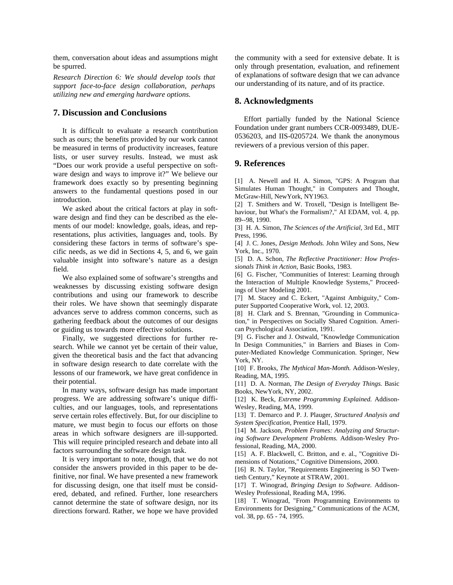them, conversation about ideas and assumptions might be spurred.

*Research Direction 6: We should develop tools that support face-to-face design collaboration, perhaps utilizing new and emerging hardware options.* 

#### **7. Discussion and Conclusions**

It is difficult to evaluate a research contribution such as ours; the benefits provided by our work cannot be measured in terms of productivity increases, feature lists, or user survey results. Instead, we must ask "Does our work provide a useful perspective on software design and ways to improve it?" We believe our framework does exactly so by presenting beginning answers to the fundamental questions posed in our introduction.

We asked about the critical factors at play in software design and find they can be described as the elements of our model: knowledge, goals, ideas, and representations, plus activities, languages and, tools. By considering these factors in terms of software's specific needs, as we did in Sections 4, 5, and 6, we gain valuable insight into software's nature as a design field.

We also explained some of software's strengths and weaknesses by discussing existing software design contributions and using our framework to describe their roles. We have shown that seemingly disparate advances serve to address common concerns, such as gathering feedback about the outcomes of our designs or guiding us towards more effective solutions.

Finally, we suggested directions for further research. While we cannot yet be certain of their value, given the theoretical basis and the fact that advancing in software design research to date correlate with the lessons of our framework, we have great confidence in their potential.

In many ways, software design has made important progress. We are addressing software's unique difficulties, and our languages, tools, and representations serve certain roles effectively. But, for our discipline to mature, we must begin to focus our efforts on those areas in which software designers are ill-supported. This will require principled research and debate into all factors surrounding the software design task.

It is very important to note, though, that we do not consider the answers provided in this paper to be definitive, nor final. We have presented a new framework for discussing design, one that itself must be considered, debated, and refined. Further, lone researchers cannot determine the state of software design, nor its directions forward. Rather, we hope we have provided

the community with a seed for extensive debate. It is only through presentation, evaluation, and refinement of explanations of software design that we can advance our understanding of its nature, and of its practice.

#### **8. Acknowledgments**

Effort partially funded by the National Science Foundation under grant numbers CCR-0093489, DUE-0536203, and IIS-0205724. We thank the anonymous reviewers of a previous version of this paper.

#### **9. References**

[1] A. Newell and H. A. Simon, "GPS: A Program that Simulates Human Thought," in Computers and Thought, McGraw-Hill, NewYork, NY1963.

[2] T. Smithers and W. Troxell, "Design is Intelligent Behaviour, but What's the Formalism?," AI EDAM, vol. 4, pp. 89--98, 1990.

[3] H. A. Simon, *The Sciences of the Artificial*, 3rd Ed., MIT Press, 1996.

[4] J. C. Jones, *Design Methods.* John Wiley and Sons, New York, Inc., 1970.

[5] D. A. Schon, *The Reflective Practitioner: How Professionals Think in Action*, Basic Books, 1983.

[6] G. Fischer, "Communities of Interest: Learning through the Interaction of Multiple Knowledge Systems," Proceedings of User Modeling 2001.

[7] M. Stacey and C. Eckert, "Against Ambiguity," Computer Supported Cooperative Work, vol. 12, 2003.

[8] H. Clark and S. Brennan, "Grounding in Communication," in Perspectives on Socially Shared Cognition. American Psychological Association, 1991.

[9] G. Fischer and J. Ostwald, "Knowledge Communication In Design Communities," in Barriers and Biases in Computer-Mediated Knowledge Communication. Springer, New York, NY.

[10] F. Brooks, *The Mythical Man-Month.* Addison-Wesley, Reading, MA, 1995.

[11] D. A. Norman, *The Design of Everyday Things.* Basic Books, NewYork, NY, 2002.

[12] K. Beck, *Extreme Programming Explained.* Addison-Wesley, Reading, MA, 1999.

[13] T. Demarco and P. J. Plauger, *Structured Analysis and System Specification*, Prentice Hall, 1979.

[14] M. Jackson, *Problem Frames: Analyzing and Structuring Software Development Problems.* Addison-Wesley Professional, Reading, MA, 2000.

[15] A. F. Blackwell, C. Britton, and e. al., "Cognitive Dimensions of Notations," Cognitive Dimensions, 2000.

[16] R. N. Taylor, "Requirements Engineering is SO Twentieth Century," Keynote at STRAW, 2001.

[17] T. Winograd, *Bringing Design to Software.* Addison-Wesley Professional, Reading MA, 1996.

[18] T. Winograd, "From Programming Environments to Environments for Designing," Communications of the ACM, vol. 38, pp. 65 - 74, 1995.